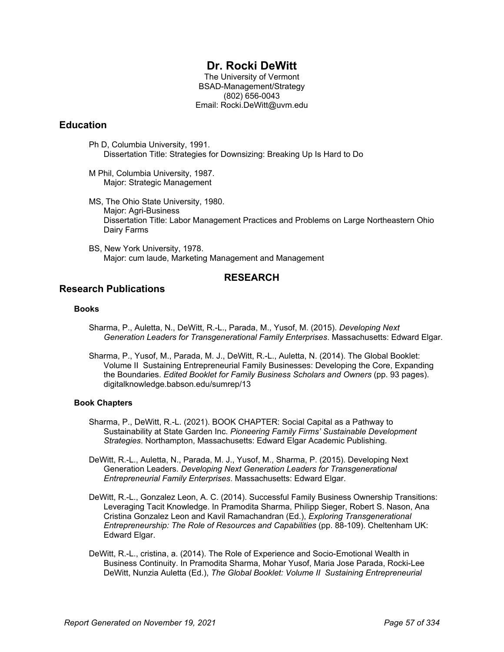# **Dr. Rocki DeWitt**

The University of Vermont BSAD-Management/Strategy (802) 656-0043 Email: Rocki.DeWitt@uvm.edu

# **Education**

- Ph D, Columbia University, 1991. Dissertation Title: Strategies for Downsizing: Breaking Up Is Hard to Do
- M Phil, Columbia University, 1987. Major: Strategic Management
- MS, The Ohio State University, 1980. Major: Agri-Business Dissertation Title: Labor Management Practices and Problems on Large Northeastern Ohio Dairy Farms
- BS, New York University, 1978. Major: cum laude, Marketing Management and Management

# **RESEARCH**

# **Research Publications**

### **Books**

- Sharma, P., Auletta, N., DeWitt, R.-L., Parada, M., Yusof, M. (2015). *Developing Next Generation Leaders for Transgenerational Family Enterprises*. Massachusetts: Edward Elgar.
- Sharma, P., Yusof, M., Parada, M. J., DeWitt, R.-L., Auletta, N. (2014). The Global Booklet: Volume II Sustaining Entrepreneurial Family Businesses: Developing the Core, Expanding the Boundaries. *Edited Booklet for Family Business Scholars and Owners* (pp. 93 pages). digitalknowledge.babson.edu/sumrep/13

### **Book Chapters**

- Sharma, P., DeWitt, R.-L. (2021). BOOK CHAPTER: Social Capital as a Pathway to Sustainability at State Garden Inc. *Pioneering Family Firms' Sustainable Development Strategies*. Northampton, Massachusetts: Edward Elgar Academic Publishing.
- DeWitt, R.-L., Auletta, N., Parada, M. J., Yusof, M., Sharma, P. (2015). Developing Next Generation Leaders. *Developing Next Generation Leaders for Transgenerational Entrepreneurial Family Enterprises*. Massachusetts: Edward Elgar.
- DeWitt, R.-L., Gonzalez Leon, A. C. (2014). Successful Family Business Ownership Transitions: Leveraging Tacit Knowledge. In Pramodita Sharma, Philipp Sieger, Robert S. Nason, Ana Cristina Gonzalez Leon and Kavil Ramachandran (Ed.), *Exploring Transgenerational Entrepreneurship: The Role of Resources and Capabilities* (pp. 88-109). Cheltenham UK: Edward Elgar.
- DeWitt, R.-L., cristina, a. (2014). The Role of Experience and Socio-Emotional Wealth in Business Continuity. In Pramodita Sharma, Mohar Yusof, Maria Jose Parada, Rocki-Lee DeWitt, Nunzia Auletta (Ed.), *The Global Booklet: Volume II Sustaining Entrepreneurial*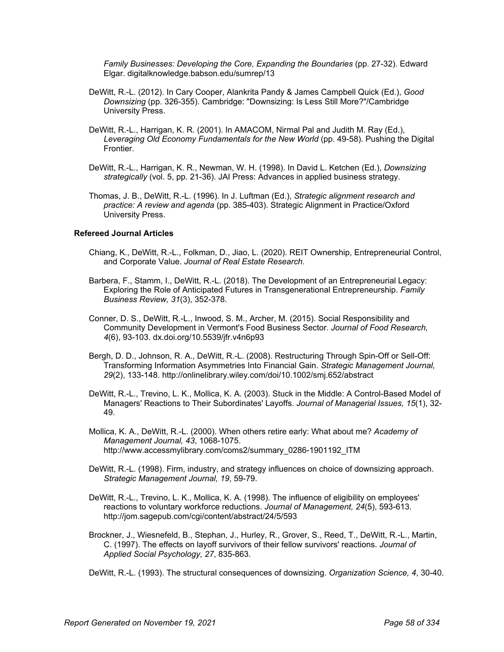*Family Businesses: Developing the Core, Expanding the Boundaries* (pp. 27-32). Edward Elgar. digitalknowledge.babson.edu/sumrep/13

- DeWitt, R.-L. (2012). In Cary Cooper, Alankrita Pandy & James Campbell Quick (Ed.), *Good Downsizing* (pp. 326-355). Cambridge: "Downsizing: Is Less Still More?"/Cambridge University Press.
- DeWitt, R.-L., Harrigan, K. R. (2001). In AMACOM, Nirmal Pal and Judith M. Ray (Ed.), *Leveraging Old Economy Fundamentals for the New World* (pp. 49-58). Pushing the Digital **Frontier**
- DeWitt, R.-L., Harrigan, K. R., Newman, W. H. (1998). In David L. Ketchen (Ed.), *Downsizing strategically* (vol. 5, pp. 21-36). JAI Press: Advances in applied business strategy.
- Thomas, J. B., DeWitt, R.-L. (1996). In J. Luftman (Ed.), *Strategic alignment research and practice: A review and agenda* (pp. 385-403). Strategic Alignment in Practice/Oxford University Press.

#### **Refereed Journal Articles**

- Chiang, K., DeWitt, R.-L., Folkman, D., Jiao, L. (2020). REIT Ownership, Entrepreneurial Control, and Corporate Value. *Journal of Real Estate Research*.
- Barbera, F., Stamm, I., DeWitt, R.-L. (2018). The Development of an Entrepreneurial Legacy: Exploring the Role of Anticipated Futures in Transgenerational Entrepreneurship. *Family Business Review, 31*(3), 352-378.
- Conner, D. S., DeWitt, R.-L., Inwood, S. M., Archer, M. (2015). Social Responsibility and Community Development in Vermont's Food Business Sector. *Journal of Food Research, 4*(6), 93-103. dx.doi.org/10.5539/jfr.v4n6p93
- Bergh, D. D., Johnson, R. A., DeWitt, R.-L. (2008). Restructuring Through Spin-Off or Sell-Off: Transforming Information Asymmetries Into Financial Gain. *Strategic Management Journal, 29*(2), 133-148. http://onlinelibrary.wiley.com/doi/10.1002/smj.652/abstract
- DeWitt, R.-L., Trevino, L. K., Mollica, K. A. (2003). Stuck in the Middle: A Control-Based Model of Managers' Reactions to Their Subordinates' Layoffs. *Journal of Managerial Issues, 15*(1), 32- 49.
- Mollica, K. A., DeWitt, R.-L. (2000). When others retire early: What about me? *Academy of Management Journal, 43*, 1068-1075. http://www.accessmylibrary.com/coms2/summary\_0286-1901192\_ITM
- DeWitt, R.-L. (1998). Firm, industry, and strategy influences on choice of downsizing approach. *Strategic Management Journal, 19*, 59-79.
- DeWitt, R.-L., Trevino, L. K., Mollica, K. A. (1998). The influence of eligibility on employees' reactions to voluntary workforce reductions. *Journal of Management, 24*(5), 593-613. http://jom.sagepub.com/cgi/content/abstract/24/5/593
- Brockner, J., Wiesnefeld, B., Stephan, J., Hurley, R., Grover, S., Reed, T., DeWitt, R.-L., Martin, C. (1997). The effects on layoff survivors of their fellow survivors' reactions. *Journal of Applied Social Psychology, 27*, 835-863.
- DeWitt, R.-L. (1993). The structural consequences of downsizing. *Organization Science, 4*, 30-40.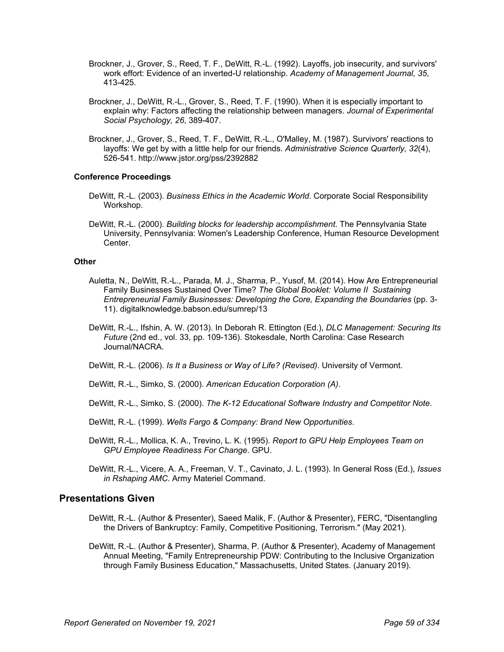- Brockner, J., Grover, S., Reed, T. F., DeWitt, R.-L. (1992). Layoffs, job insecurity, and survivors' work effort: Evidence of an inverted-U relationship. *Academy of Management Journal, 35*, 413-425.
- Brockner, J., DeWitt, R.-L., Grover, S., Reed, T. F. (1990). When it is especially important to explain why: Factors affecting the relationship between managers. *Journal of Experimental Social Psychology, 26*, 389-407.
- Brockner, J., Grover, S., Reed, T. F., DeWitt, R.-L., O'Malley, M. (1987). Survivors' reactions to layoffs: We get by with a little help for our friends. *Administrative Science Quarterly, 32*(4), 526-541. http://www.jstor.org/pss/2392882

### **Conference Proceedings**

- DeWitt, R.-L. (2003). *Business Ethics in the Academic World*. Corporate Social Responsibility Workshop.
- DeWitt, R.-L. (2000). *Building blocks for leadership accomplishment*. The Pennsylvania State University, Pennsylvania: Women's Leadership Conference, Human Resource Development Center.

#### **Other**

- Auletta, N., DeWitt, R.-L., Parada, M. J., Sharma, P., Yusof, M. (2014). How Are Entrepreneurial Family Businesses Sustained Over Time? *The Global Booklet: Volume II Sustaining Entrepreneurial Family Businesses: Developing the Core, Expanding the Boundaries* (pp. 3- 11). digitalknowledge.babson.edu/sumrep/13
- DeWitt, R.-L., Ifshin, A. W. (2013). In Deborah R. Ettington (Ed.), *DLC Management: Securing Its Future* (2nd ed., vol. 33, pp. 109-136). Stokesdale, North Carolina: Case Research Journal/NACRA.
- DeWitt, R.-L. (2006). *Is It a Business or Way of Life? (Revised)*. University of Vermont.
- DeWitt, R.-L., Simko, S. (2000). *American Education Corporation (A)*.
- DeWitt, R.-L., Simko, S. (2000). *The K-12 Educational Software Industry and Competitor Note*.
- DeWitt, R.-L. (1999). *Wells Fargo & Company: Brand New Opportunities*.
- DeWitt, R.-L., Mollica, K. A., Trevino, L. K. (1995). *Report to GPU Help Employees Team on GPU Employee Readiness For Change*. GPU.

DeWitt, R.-L., Vicere, A. A., Freeman, V. T., Cavinato, J. L. (1993). In General Ross (Ed.), *Issues in Rshaping AMC*. Army Materiel Command.

### **Presentations Given**

- DeWitt, R.-L. (Author & Presenter), Saeed Malik, F. (Author & Presenter), FERC, "Disentangling the Drivers of Bankruptcy: Family, Competitive Positioning, Terrorism." (May 2021).
- DeWitt, R.-L. (Author & Presenter), Sharma, P. (Author & Presenter), Academy of Management Annual Meeting, "Family Entrepreneurship PDW: Contributing to the Inclusive Organization through Family Business Education," Massachusetts, United States. (January 2019).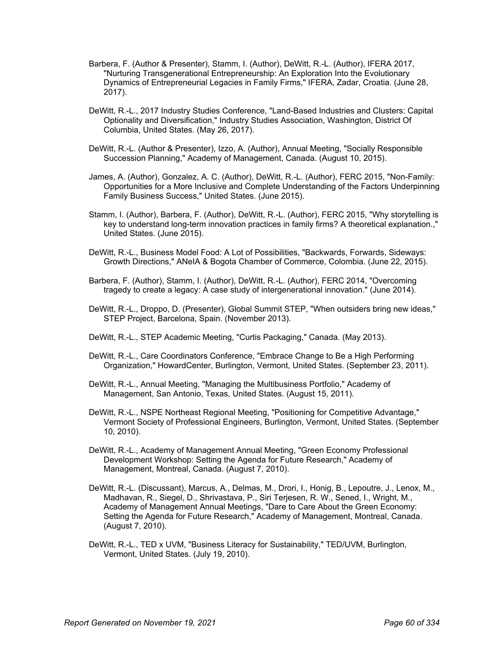- Barbera, F. (Author & Presenter), Stamm, I. (Author), DeWitt, R.-L. (Author), IFERA 2017, "Nurturing Transgenerational Entrepreneurship: An Exploration Into the Evolutionary Dynamics of Entrepreneurial Legacies in Family Firms," IFERA, Zadar, Croatia. (June 28, 2017).
- DeWitt, R.-L., 2017 Industry Studies Conference, "Land-Based Industries and Clusters: Capital Optionality and Diversification," Industry Studies Association, Washington, District Of Columbia, United States. (May 26, 2017).
- DeWitt, R.-L. (Author & Presenter), Izzo, A. (Author), Annual Meeting, "Socially Responsible Succession Planning," Academy of Management, Canada. (August 10, 2015).
- James, A. (Author), Gonzalez, A. C. (Author), DeWitt, R.-L. (Author), FERC 2015, "Non-Family: Opportunities for a More Inclusive and Complete Understanding of the Factors Underpinning Family Business Success," United States. (June 2015).
- Stamm, I. (Author), Barbera, F. (Author), DeWitt, R.-L. (Author), FERC 2015, "Why storytelling is key to understand long-term innovation practices in family firms? A theoretical explanation.," United States. (June 2015).
- DeWitt, R.-L., Business Model Food: A Lot of Possibilities, "Backwards, Forwards, Sideways: Growth Directions," ANeIA & Bogota Chamber of Commerce, Colombia. (June 22, 2015).
- Barbera, F. (Author), Stamm, I. (Author), DeWitt, R.-L. (Author), FERC 2014, "Overcoming tragedy to create a legacy: A case study of intergenerational innovation." (June 2014).
- DeWitt, R.-L., Droppo, D. (Presenter), Global Summit STEP, "When outsiders bring new ideas," STEP Project, Barcelona, Spain. (November 2013).
- DeWitt, R.-L., STEP Academic Meeting, "Curtis Packaging," Canada. (May 2013).
- DeWitt, R.-L., Care Coordinators Conference, "Embrace Change to Be a High Performing Organization," HowardCenter, Burlington, Vermont, United States. (September 23, 2011).
- DeWitt, R.-L., Annual Meeting, "Managing the Multibusiness Portfolio," Academy of Management, San Antonio, Texas, United States. (August 15, 2011).
- DeWitt, R.-L., NSPE Northeast Regional Meeting, "Positioning for Competitive Advantage," Vermont Society of Professional Engineers, Burlington, Vermont, United States. (September 10, 2010).
- DeWitt, R.-L., Academy of Management Annual Meeting, "Green Economy Professional Development Workshop: Setting the Agenda for Future Research," Academy of Management, Montreal, Canada. (August 7, 2010).
- DeWitt, R.-L. (Discussant), Marcus, A., Delmas, M., Drori, I., Honig, B., Lepoutre, J., Lenox, M., Madhavan, R., Siegel, D., Shrivastava, P., Siri Terjesen, R. W., Sened, I., Wright, M., Academy of Management Annual Meetings, "Dare to Care About the Green Economy: Setting the Agenda for Future Research," Academy of Management, Montreal, Canada. (August 7, 2010).
- DeWitt, R.-L., TED x UVM, "Business Literacy for Sustainability," TED/UVM, Burlington, Vermont, United States. (July 19, 2010).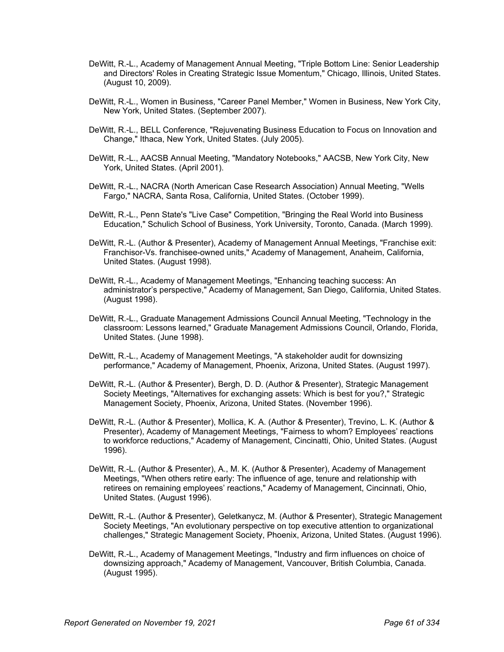- DeWitt, R.-L., Academy of Management Annual Meeting, "Triple Bottom Line: Senior Leadership and Directors' Roles in Creating Strategic Issue Momentum," Chicago, Illinois, United States. (August 10, 2009).
- DeWitt, R.-L., Women in Business, "Career Panel Member," Women in Business, New York City, New York, United States. (September 2007).
- DeWitt, R.-L., BELL Conference, "Rejuvenating Business Education to Focus on Innovation and Change," Ithaca, New York, United States. (July 2005).
- DeWitt, R.-L., AACSB Annual Meeting, "Mandatory Notebooks," AACSB, New York City, New York, United States. (April 2001).
- DeWitt, R.-L., NACRA (North American Case Research Association) Annual Meeting, "Wells Fargo," NACRA, Santa Rosa, California, United States. (October 1999).
- DeWitt, R.-L., Penn State's "Live Case" Competition, "Bringing the Real World into Business Education," Schulich School of Business, York University, Toronto, Canada. (March 1999).
- DeWitt, R.-L. (Author & Presenter), Academy of Management Annual Meetings, "Franchise exit: Franchisor-Vs. franchisee-owned units," Academy of Management, Anaheim, California, United States. (August 1998).
- DeWitt, R.-L., Academy of Management Meetings, "Enhancing teaching success: An administrator's perspective," Academy of Management, San Diego, California, United States. (August 1998).
- DeWitt, R.-L., Graduate Management Admissions Council Annual Meeting, "Technology in the classroom: Lessons learned," Graduate Management Admissions Council, Orlando, Florida, United States. (June 1998).
- DeWitt, R.-L., Academy of Management Meetings, "A stakeholder audit for downsizing performance," Academy of Management, Phoenix, Arizona, United States. (August 1997).
- DeWitt, R.-L. (Author & Presenter), Bergh, D. D. (Author & Presenter), Strategic Management Society Meetings, "Alternatives for exchanging assets: Which is best for you?," Strategic Management Society, Phoenix, Arizona, United States. (November 1996).
- DeWitt, R.-L. (Author & Presenter), Mollica, K. A. (Author & Presenter), Trevino, L. K. (Author & Presenter), Academy of Management Meetings, "Fairness to whom? Employees' reactions to workforce reductions," Academy of Management, Cincinatti, Ohio, United States. (August 1996).
- DeWitt, R.-L. (Author & Presenter), A., M. K. (Author & Presenter), Academy of Management Meetings, "When others retire early: The influence of age, tenure and relationship with retirees on remaining employees' reactions," Academy of Management, Cincinnati, Ohio, United States. (August 1996).
- DeWitt, R.-L. (Author & Presenter), Geletkanycz, M. (Author & Presenter), Strategic Management Society Meetings, "An evolutionary perspective on top executive attention to organizational challenges," Strategic Management Society, Phoenix, Arizona, United States. (August 1996).
- DeWitt, R.-L., Academy of Management Meetings, "Industry and firm influences on choice of downsizing approach," Academy of Management, Vancouver, British Columbia, Canada. (August 1995).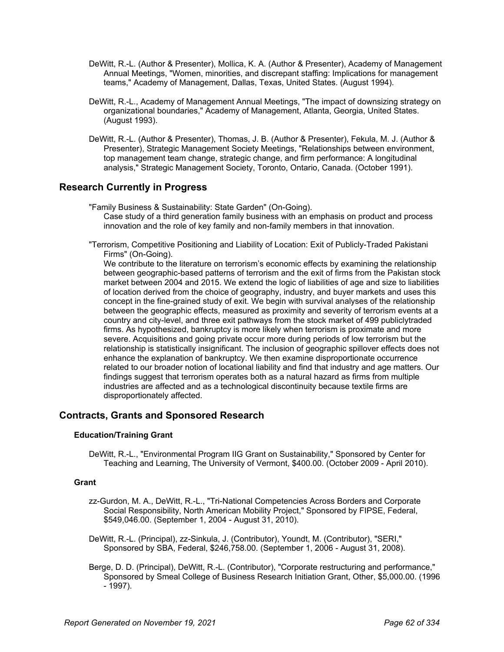- DeWitt, R.-L. (Author & Presenter), Mollica, K. A. (Author & Presenter), Academy of Management Annual Meetings, "Women, minorities, and discrepant staffing: Implications for management teams," Academy of Management, Dallas, Texas, United States. (August 1994).
- DeWitt, R.-L., Academy of Management Annual Meetings, "The impact of downsizing strategy on organizational boundaries," Academy of Management, Atlanta, Georgia, United States. (August 1993).
- DeWitt, R.-L. (Author & Presenter), Thomas, J. B. (Author & Presenter), Fekula, M. J. (Author & Presenter), Strategic Management Society Meetings, "Relationships between environment, top management team change, strategic change, and firm performance: A longitudinal analysis," Strategic Management Society, Toronto, Ontario, Canada. (October 1991).

# **Research Currently in Progress**

"Family Business & Sustainability: State Garden" (On-Going). Case study of a third generation family business with an emphasis on product and process innovation and the role of key family and non-family members in that innovation.

"Terrorism, Competitive Positioning and Liability of Location: Exit of Publicly-Traded Pakistani Firms" (On-Going).

We contribute to the literature on terrorism's economic effects by examining the relationship between geographic-based patterns of terrorism and the exit of firms from the Pakistan stock market between 2004 and 2015. We extend the logic of liabilities of age and size to liabilities of location derived from the choice of geography, industry, and buyer markets and uses this concept in the fine-grained study of exit. We begin with survival analyses of the relationship between the geographic effects, measured as proximity and severity of terrorism events at a country and city-level, and three exit pathways from the stock market of 499 publiclytraded firms. As hypothesized, bankruptcy is more likely when terrorism is proximate and more severe. Acquisitions and going private occur more during periods of low terrorism but the relationship is statistically insignificant. The inclusion of geographic spillover effects does not enhance the explanation of bankruptcy. We then examine disproportionate occurrence related to our broader notion of locational liability and find that industry and age matters. Our findings suggest that terrorism operates both as a natural hazard as firms from multiple industries are affected and as a technological discontinuity because textile firms are disproportionately affected.

# **Contracts, Grants and Sponsored Research**

### **Education/Training Grant**

DeWitt, R.-L., "Environmental Program IIG Grant on Sustainability," Sponsored by Center for Teaching and Learning, The University of Vermont, \$400.00. (October 2009 - April 2010).

### **Grant**

- zz-Gurdon, M. A., DeWitt, R.-L., "Tri-National Competencies Across Borders and Corporate Social Responsibility, North American Mobility Project," Sponsored by FIPSE, Federal, \$549,046.00. (September 1, 2004 - August 31, 2010).
- DeWitt, R.-L. (Principal), zz-Sinkula, J. (Contributor), Youndt, M. (Contributor), "SERI," Sponsored by SBA, Federal, \$246,758.00. (September 1, 2006 - August 31, 2008).
- Berge, D. D. (Principal), DeWitt, R.-L. (Contributor), "Corporate restructuring and performance," Sponsored by Smeal College of Business Research Initiation Grant, Other, \$5,000.00. (1996 - 1997).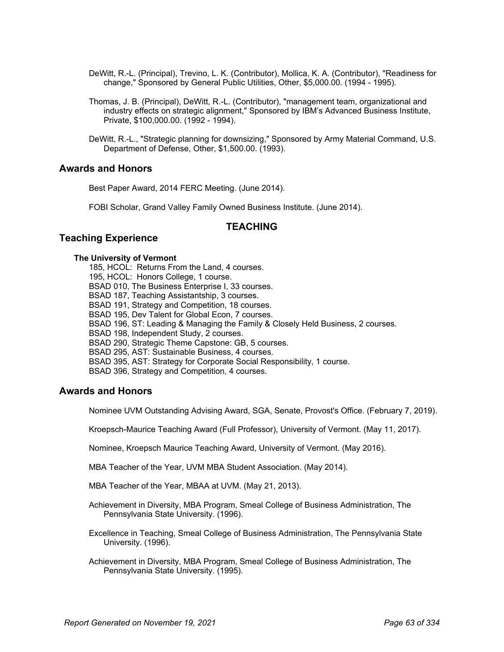- DeWitt, R.-L. (Principal), Trevino, L. K. (Contributor), Mollica, K. A. (Contributor), "Readiness for change," Sponsored by General Public Utilities, Other, \$5,000.00. (1994 - 1995).
- Thomas, J. B. (Principal), DeWitt, R.-L. (Contributor), "management team, organizational and industry effects on strategic alignment," Sponsored by IBM's Advanced Business Institute, Private, \$100,000.00. (1992 - 1994).
- DeWitt, R.-L., "Strategic planning for downsizing," Sponsored by Army Material Command, U.S. Department of Defense, Other, \$1,500.00. (1993).

### **Awards and Honors**

Best Paper Award, 2014 FERC Meeting. (June 2014).

FOBI Scholar, Grand Valley Family Owned Business Institute. (June 2014).

### **TEACHING**

# **Teaching Experience**

#### **The University of Vermont**

185, HCOL: Returns From the Land, 4 courses. 195, HCOL: Honors College, 1 course. BSAD 010, The Business Enterprise I, 33 courses. BSAD 187, Teaching Assistantship, 3 courses. BSAD 191, Strategy and Competition, 18 courses. BSAD 195, Dev Talent for Global Econ, 7 courses. BSAD 196, ST: Leading & Managing the Family & Closely Held Business, 2 courses. BSAD 198, Independent Study, 2 courses. BSAD 290, Strategic Theme Capstone: GB, 5 courses. BSAD 295, AST: Sustainable Business, 4 courses. BSAD 395, AST: Strategy for Corporate Social Responsibility, 1 course. BSAD 396, Strategy and Competition, 4 courses.

### **Awards and Honors**

Nominee UVM Outstanding Advising Award, SGA, Senate, Provost's Office. (February 7, 2019).

Kroepsch-Maurice Teaching Award (Full Professor), University of Vermont. (May 11, 2017).

Nominee, Kroepsch Maurice Teaching Award, University of Vermont. (May 2016).

MBA Teacher of the Year, UVM MBA Student Association. (May 2014).

MBA Teacher of the Year, MBAA at UVM. (May 21, 2013).

- Achievement in Diversity, MBA Program, Smeal College of Business Administration, The Pennsylvania State University. (1996).
- Excellence in Teaching, Smeal College of Business Administration, The Pennsylvania State University. (1996).
- Achievement in Diversity, MBA Program, Smeal College of Business Administration, The Pennsylvania State University. (1995).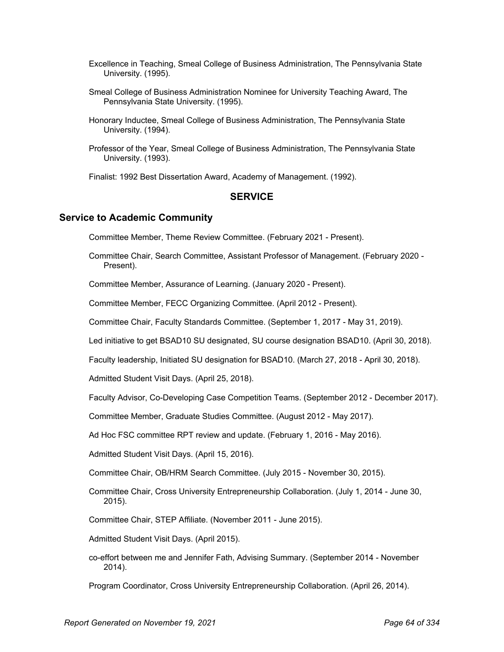- Excellence in Teaching, Smeal College of Business Administration, The Pennsylvania State University. (1995).
- Smeal College of Business Administration Nominee for University Teaching Award, The Pennsylvania State University. (1995).
- Honorary Inductee, Smeal College of Business Administration, The Pennsylvania State University. (1994).
- Professor of the Year, Smeal College of Business Administration, The Pennsylvania State University. (1993).

Finalist: 1992 Best Dissertation Award, Academy of Management. (1992).

# **SERVICE**

### **Service to Academic Community**

Committee Member, Theme Review Committee. (February 2021 - Present).

Committee Chair, Search Committee, Assistant Professor of Management. (February 2020 - Present).

Committee Member, Assurance of Learning. (January 2020 - Present).

Committee Member, FECC Organizing Committee. (April 2012 - Present).

Committee Chair, Faculty Standards Committee. (September 1, 2017 - May 31, 2019).

Led initiative to get BSAD10 SU designated, SU course designation BSAD10. (April 30, 2018).

Faculty leadership, Initiated SU designation for BSAD10. (March 27, 2018 - April 30, 2018).

Admitted Student Visit Days. (April 25, 2018).

Faculty Advisor, Co-Developing Case Competition Teams. (September 2012 - December 2017).

Committee Member, Graduate Studies Committee. (August 2012 - May 2017).

Ad Hoc FSC committee RPT review and update. (February 1, 2016 - May 2016).

Admitted Student Visit Days. (April 15, 2016).

Committee Chair, OB/HRM Search Committee. (July 2015 - November 30, 2015).

- Committee Chair, Cross University Entrepreneurship Collaboration. (July 1, 2014 June 30, 2015).
- Committee Chair, STEP Affiliate. (November 2011 June 2015).

Admitted Student Visit Days. (April 2015).

co-effort between me and Jennifer Fath, Advising Summary. (September 2014 - November 2014).

Program Coordinator, Cross University Entrepreneurship Collaboration. (April 26, 2014).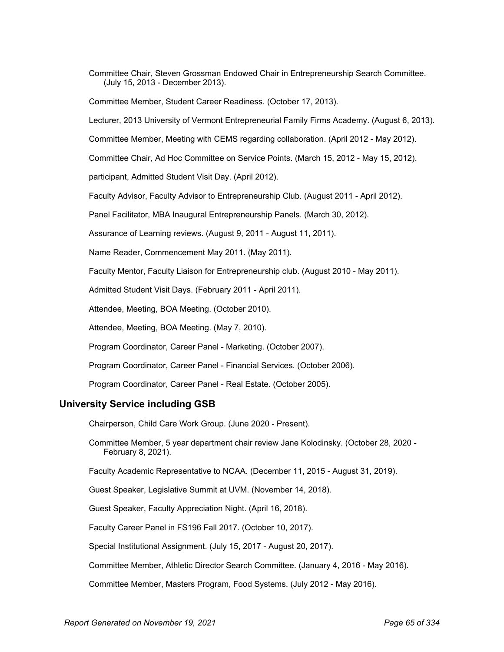Committee Chair, Steven Grossman Endowed Chair in Entrepreneurship Search Committee. (July 15, 2013 - December 2013).

Committee Member, Student Career Readiness. (October 17, 2013).

Lecturer, 2013 University of Vermont Entrepreneurial Family Firms Academy. (August 6, 2013).

Committee Member, Meeting with CEMS regarding collaboration. (April 2012 - May 2012).

Committee Chair, Ad Hoc Committee on Service Points. (March 15, 2012 - May 15, 2012).

participant, Admitted Student Visit Day. (April 2012).

Faculty Advisor, Faculty Advisor to Entrepreneurship Club. (August 2011 - April 2012).

Panel Facilitator, MBA Inaugural Entrepreneurship Panels. (March 30, 2012).

Assurance of Learning reviews. (August 9, 2011 - August 11, 2011).

Name Reader, Commencement May 2011. (May 2011).

Faculty Mentor, Faculty Liaison for Entrepreneurship club. (August 2010 - May 2011).

Admitted Student Visit Days. (February 2011 - April 2011).

Attendee, Meeting, BOA Meeting. (October 2010).

Attendee, Meeting, BOA Meeting. (May 7, 2010).

Program Coordinator, Career Panel - Marketing. (October 2007).

Program Coordinator, Career Panel - Financial Services. (October 2006).

Program Coordinator, Career Panel - Real Estate. (October 2005).

### **University Service including GSB**

Chairperson, Child Care Work Group. (June 2020 - Present).

Committee Member, 5 year department chair review Jane Kolodinsky. (October 28, 2020 - February 8, 2021).

Faculty Academic Representative to NCAA. (December 11, 2015 - August 31, 2019).

Guest Speaker, Legislative Summit at UVM. (November 14, 2018).

Guest Speaker, Faculty Appreciation Night. (April 16, 2018).

Faculty Career Panel in FS196 Fall 2017. (October 10, 2017).

Special Institutional Assignment. (July 15, 2017 - August 20, 2017).

Committee Member, Athletic Director Search Committee. (January 4, 2016 - May 2016).

Committee Member, Masters Program, Food Systems. (July 2012 - May 2016).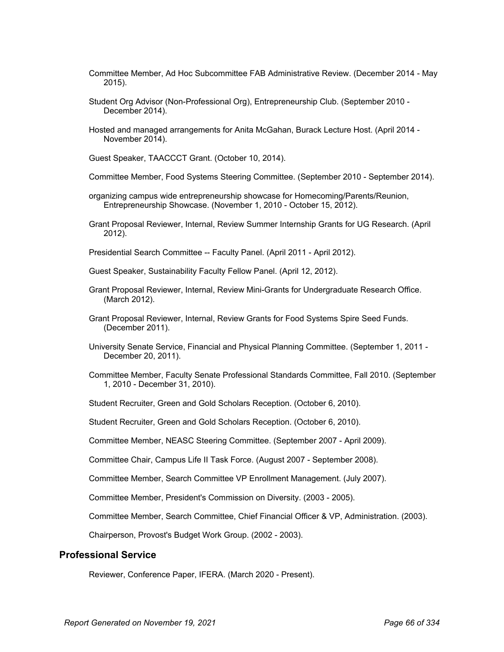- Committee Member, Ad Hoc Subcommittee FAB Administrative Review. (December 2014 May 2015).
- Student Org Advisor (Non-Professional Org), Entrepreneurship Club. (September 2010 December 2014).
- Hosted and managed arrangements for Anita McGahan, Burack Lecture Host. (April 2014 November 2014).

Guest Speaker, TAACCCT Grant. (October 10, 2014).

- Committee Member, Food Systems Steering Committee. (September 2010 September 2014).
- organizing campus wide entrepreneurship showcase for Homecoming/Parents/Reunion, Entrepreneurship Showcase. (November 1, 2010 - October 15, 2012).
- Grant Proposal Reviewer, Internal, Review Summer Internship Grants for UG Research. (April 2012).
- Presidential Search Committee -- Faculty Panel. (April 2011 April 2012).
- Guest Speaker, Sustainability Faculty Fellow Panel. (April 12, 2012).
- Grant Proposal Reviewer, Internal, Review Mini-Grants for Undergraduate Research Office. (March 2012).
- Grant Proposal Reviewer, Internal, Review Grants for Food Systems Spire Seed Funds. (December 2011).
- University Senate Service, Financial and Physical Planning Committee. (September 1, 2011 December 20, 2011).
- Committee Member, Faculty Senate Professional Standards Committee, Fall 2010. (September 1, 2010 - December 31, 2010).
- Student Recruiter, Green and Gold Scholars Reception. (October 6, 2010).
- Student Recruiter, Green and Gold Scholars Reception. (October 6, 2010).
- Committee Member, NEASC Steering Committee. (September 2007 April 2009).
- Committee Chair, Campus Life II Task Force. (August 2007 September 2008).
- Committee Member, Search Committee VP Enrollment Management. (July 2007).
- Committee Member, President's Commission on Diversity. (2003 2005).
- Committee Member, Search Committee, Chief Financial Officer & VP, Administration. (2003).

Chairperson, Provost's Budget Work Group. (2002 - 2003).

### **Professional Service**

Reviewer, Conference Paper, IFERA. (March 2020 - Present).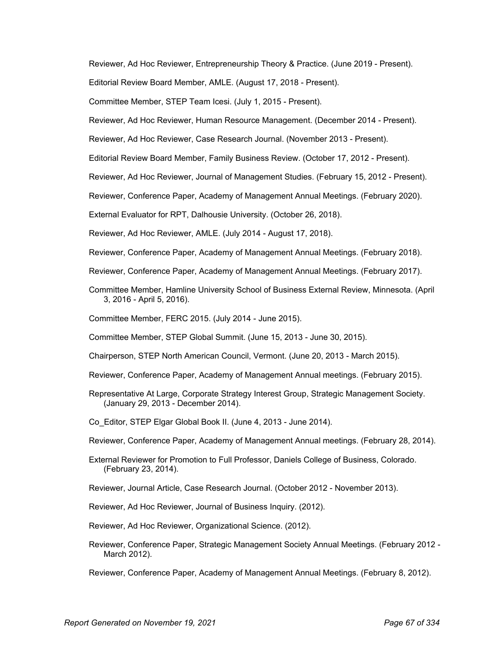Reviewer, Ad Hoc Reviewer, Entrepreneurship Theory & Practice. (June 2019 - Present).

Editorial Review Board Member, AMLE. (August 17, 2018 - Present).

Committee Member, STEP Team Icesi. (July 1, 2015 - Present).

Reviewer, Ad Hoc Reviewer, Human Resource Management. (December 2014 - Present).

Reviewer, Ad Hoc Reviewer, Case Research Journal. (November 2013 - Present).

Editorial Review Board Member, Family Business Review. (October 17, 2012 - Present).

Reviewer, Ad Hoc Reviewer, Journal of Management Studies. (February 15, 2012 - Present).

Reviewer, Conference Paper, Academy of Management Annual Meetings. (February 2020).

External Evaluator for RPT, Dalhousie University. (October 26, 2018).

Reviewer, Ad Hoc Reviewer, AMLE. (July 2014 - August 17, 2018).

Reviewer, Conference Paper, Academy of Management Annual Meetings. (February 2018).

Reviewer, Conference Paper, Academy of Management Annual Meetings. (February 2017).

Committee Member, Hamline University School of Business External Review, Minnesota. (April 3, 2016 - April 5, 2016).

Committee Member, FERC 2015. (July 2014 - June 2015).

Committee Member, STEP Global Summit. (June 15, 2013 - June 30, 2015).

Chairperson, STEP North American Council, Vermont. (June 20, 2013 - March 2015).

- Reviewer, Conference Paper, Academy of Management Annual meetings. (February 2015).
- Representative At Large, Corporate Strategy Interest Group, Strategic Management Society. (January 29, 2013 - December 2014).

Co\_Editor, STEP Elgar Global Book II. (June 4, 2013 - June 2014).

- Reviewer, Conference Paper, Academy of Management Annual meetings. (February 28, 2014).
- External Reviewer for Promotion to Full Professor, Daniels College of Business, Colorado. (February 23, 2014).
- Reviewer, Journal Article, Case Research Journal. (October 2012 November 2013).

Reviewer, Ad Hoc Reviewer, Journal of Business Inquiry. (2012).

Reviewer, Ad Hoc Reviewer, Organizational Science. (2012).

Reviewer, Conference Paper, Strategic Management Society Annual Meetings. (February 2012 - March 2012).

Reviewer, Conference Paper, Academy of Management Annual Meetings. (February 8, 2012).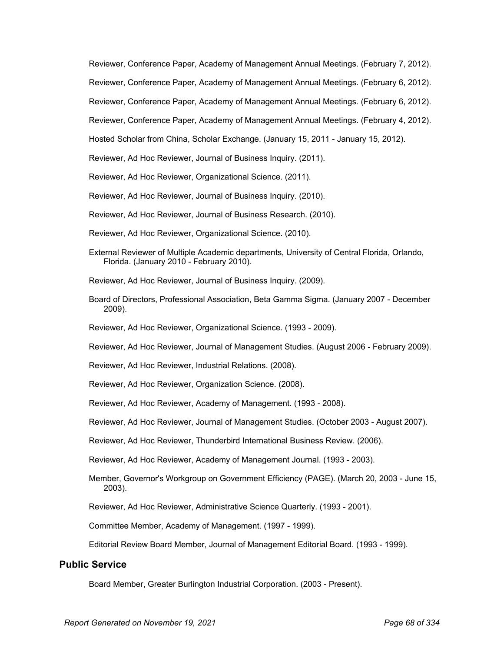Reviewer, Conference Paper, Academy of Management Annual Meetings. (February 7, 2012). Reviewer, Conference Paper, Academy of Management Annual Meetings. (February 6, 2012). Reviewer, Conference Paper, Academy of Management Annual Meetings. (February 6, 2012). Reviewer, Conference Paper, Academy of Management Annual Meetings. (February 4, 2012). Hosted Scholar from China, Scholar Exchange. (January 15, 2011 - January 15, 2012).

Reviewer, Ad Hoc Reviewer, Journal of Business Inquiry. (2011).

Reviewer, Ad Hoc Reviewer, Organizational Science. (2011).

Reviewer, Ad Hoc Reviewer, Journal of Business Inquiry. (2010).

Reviewer, Ad Hoc Reviewer, Journal of Business Research. (2010).

- Reviewer, Ad Hoc Reviewer, Organizational Science. (2010).
- External Reviewer of Multiple Academic departments, University of Central Florida, Orlando, Florida. (January 2010 - February 2010).

Reviewer, Ad Hoc Reviewer, Journal of Business Inquiry. (2009).

- Board of Directors, Professional Association, Beta Gamma Sigma. (January 2007 December 2009).
- Reviewer, Ad Hoc Reviewer, Organizational Science. (1993 2009).

Reviewer, Ad Hoc Reviewer, Journal of Management Studies. (August 2006 - February 2009).

- Reviewer, Ad Hoc Reviewer, Industrial Relations. (2008).
- Reviewer, Ad Hoc Reviewer, Organization Science. (2008).

Reviewer, Ad Hoc Reviewer, Academy of Management. (1993 - 2008).

Reviewer, Ad Hoc Reviewer, Journal of Management Studies. (October 2003 - August 2007).

Reviewer, Ad Hoc Reviewer, Thunderbird International Business Review. (2006).

Reviewer, Ad Hoc Reviewer, Academy of Management Journal. (1993 - 2003).

Member, Governor's Workgroup on Government Efficiency (PAGE). (March 20, 2003 - June 15, 2003).

Reviewer, Ad Hoc Reviewer, Administrative Science Quarterly. (1993 - 2001).

Committee Member, Academy of Management. (1997 - 1999).

Editorial Review Board Member, Journal of Management Editorial Board. (1993 - 1999).

### **Public Service**

Board Member, Greater Burlington Industrial Corporation. (2003 - Present).